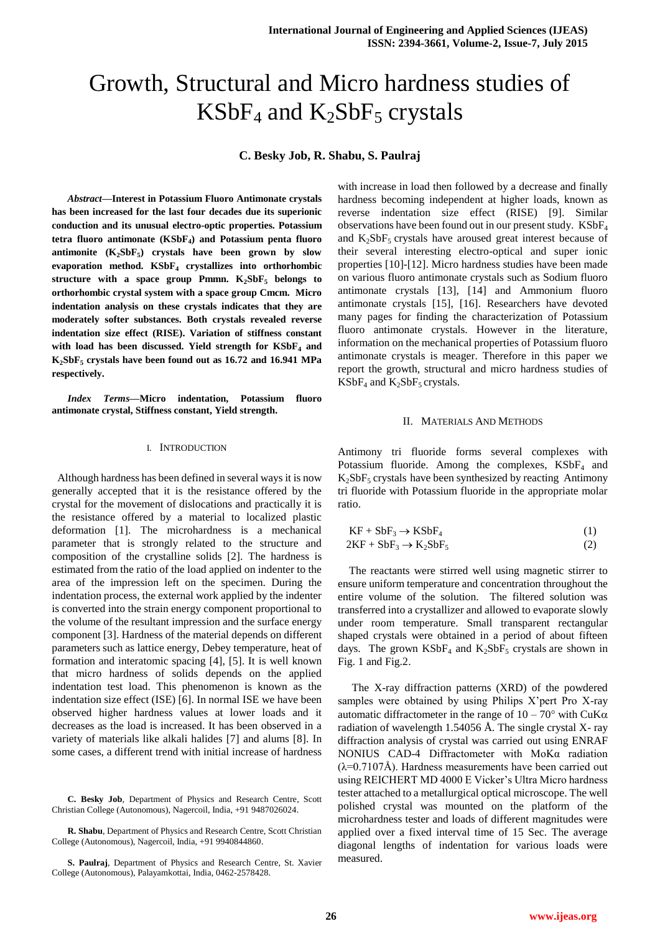# Growth, Structural and Micro hardness studies of  $KSBF<sub>4</sub>$  and  $K<sub>2</sub>SbF<sub>5</sub>$  crystals

**C. Besky Job, R. Shabu, S. Paulraj**

*Abstract***—Interest in Potassium Fluoro Antimonate crystals has been increased for the last four decades due its superionic conduction and its unusual electro-optic properties. Potassium tetra fluoro antimonate (KSbF<sup>4</sup> ) and Potassium penta fluoro antimonite (K2SbF<sup>5</sup> ) crystals have been grown by slow evaporation method. KSbF<sup>4</sup> crystallizes into orthorhombic structure with a space group Pmmn. K2SbF<sup>5</sup> belongs to orthorhombic crystal system with a space group Cmcm. Micro indentation analysis on these crystals indicates that they are moderately softer substances. Both crystals revealed reverse indentation size effect (RISE). Variation of stiffness constant with load has been discussed. Yield strength for KSbF<sup>4</sup> and K2SbF<sup>5</sup> crystals have been found out as 16.72 and 16.941 MPa respectively.** 

*Index Terms***—Micro indentation, Potassium fluoro antimonate crystal, Stiffness constant, Yield strength.**

## I. INTRODUCTION

 Although hardness has been defined in several ways it is now generally accepted that it is the resistance offered by the crystal for the movement of dislocations and practically it is the resistance offered by a material to localized plastic deformation [1]. The microhardness is a mechanical parameter that is strongly related to the structure and composition of the crystalline solids [2]. The hardness is estimated from the ratio of the load applied on indenter to the area of the impression left on the specimen. During the indentation process, the external work applied by the indenter is converted into the strain energy component proportional to the volume of the resultant impression and the surface energy component [3]. Hardness of the material depends on different parameters such as lattice energy, Debey temperature, heat of formation and interatomic spacing [4], [5]. It is well known that micro hardness of solids depends on the applied indentation test load. This phenomenon is known as the indentation size effect (ISE) [6]. In normal ISE we have been observed higher hardness values at lower loads and it decreases as the load is increased. It has been observed in a variety of materials like alkali halides [7] and alums [8]. In some cases, a different trend with initial increase of hardness

with increase in load then followed by a decrease and finally hardness becoming independent at higher loads, known as reverse indentation size effect (RISE) [9]. Similar observations have been found out in our present study.  $KSBF<sub>4</sub>$ and  $K_2SbF_5$  crystals have aroused great interest because of their several interesting electro-optical and super ionic properties [10]-[12]. Micro hardness studies have been made on various fluoro antimonate crystals such as Sodium fluoro antimonate crystals [13], [14] and Ammonium fluoro antimonate crystals [15], [16]. Researchers have devoted many pages for finding the characterization of Potassium fluoro antimonate crystals. However in the literature, information on the mechanical properties of Potassium fluoro antimonate crystals is meager. Therefore in this paper we report the growth, structural and micro hardness studies of  $KSBF<sub>4</sub>$  and  $K<sub>2</sub>SbF<sub>5</sub>$  crystals.

## II. MATERIALS AND METHODS

Antimony tri fluoride forms several complexes with Potassium fluoride. Among the complexes,  $KSBF<sub>4</sub>$  and  $K<sub>2</sub>SbF<sub>5</sub>$  crystals have been synthesized by reacting Antimony tri fluoride with Potassium fluoride in the appropriate molar ratio.

$$
KF + SbF3 \rightarrow KSbF4
$$
  
2KF + SbF<sub>3</sub> \rightarrow K<sub>2</sub>SbF<sub>5</sub> (2)

The reactants were stirred well using magnetic stirrer to ensure uniform temperature and concentration throughout the entire volume of the solution. The filtered solution was transferred into a crystallizer and allowed to evaporate slowly under room temperature. Small transparent rectangular shaped crystals were obtained in a period of about fifteen days. The grown  $KSBF_4$  and  $K_2SBF_5$  crystals are shown in Fig. 1 and Fig.2.

The X-ray diffraction patterns (XRD) of the powdered samples were obtained by using Philips X'pert Pro X-ray automatic diffractometer in the range of  $10 - 70^{\circ}$  with CuK $\alpha$ radiation of wavelength 1.54056 Å. The single crystal X- ray diffraction analysis of crystal was carried out using ENRAF NONIUS CAD-4 Diffractometer with MoKα radiation (λ=0.7107Å). Hardness measurements have been carried out using REICHERT MD 4000 E Vicker's Ultra Micro hardness tester attached to a metallurgical optical microscope. The well polished crystal was mounted on the platform of the microhardness tester and loads of different magnitudes were applied over a fixed interval time of 15 Sec. The average diagonal lengths of indentation for various loads were measured.

**C. Besky Job**, Department of Physics and Research Centre, Scott Christian College (Autonomous), Nagercoil, India, +91 9487026024.

**R. Shabu**, Department of Physics and Research Centre, Scott Christian College (Autonomous), Nagercoil, India, +91 9940844860.

**S. Paulraj**, Department of Physics and Research Centre, St. Xavier College (Autonomous), Palayamkottai, India, 0462-2578428.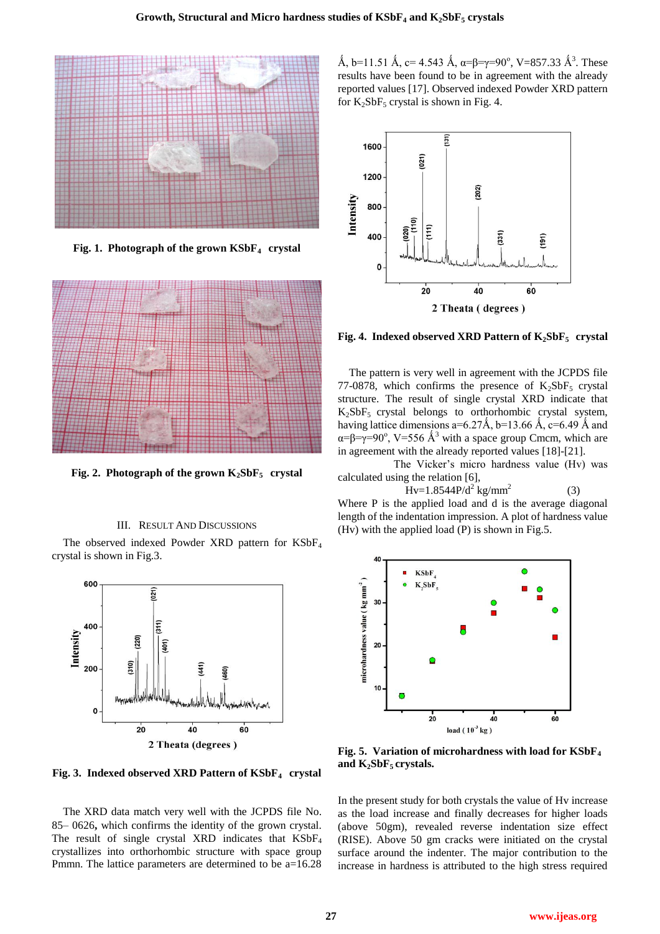

**Fig. 1. Photograph of the grown KSbF4 crystal**



**Fig. 2. Photograph of the grown**  $K_2SbF_5$  **crystal** 

### III. RESULT AND DISCUSSIONS

The observed indexed Powder XRD pattern for KSbF<sup>4</sup> crystal is shown in Fig.3.



**Fig. 3. Indexed observed XRD Pattern of KSbF4 crystal**

The XRD data match very well with the JCPDS file No. 85– 0626**,** which confirms the identity of the grown crystal. The result of single crystal XRD indicates that  $KSBF<sub>4</sub>$ crystallizes into orthorhombic structure with space group Pmmn. The lattice parameters are determined to be a=16.28

Å, b=11.51 Å, c= 4.543 Å, α=β=γ=90°, V=857.33 Å<sup>3</sup>. These results have been found to be in agreement with the already reported values [17]. Observed indexed Powder XRD pattern for  $K_2SbF_5$  crystal is shown in Fig. 4.



**Fig. 4. Indexed observed XRD Pattern of K2SbF5 crystal**

The pattern is very well in agreement with the JCPDS file 77-0878, which confirms the presence of  $K_2SbF_5$  crystal structure. The result of single crystal XRD indicate that  $K_2SbF_5$  crystal belongs to orthorhombic crystal system, having lattice dimensions a=6.27Å, b=13.66Å, c=6.49Å and  $\alpha = \beta = \gamma = 90^{\circ}$ , V=556 Å<sup>3</sup> with a space group Cmcm, which are in agreement with the already reported values [18]-[21].

 The Vicker's micro hardness value (Hv) was calculated using the relation [6],

$$
Hv=1.8544P/d^2 \text{ kg/mm}^2
$$
 (3)

Where P is the applied load and d is the average diagonal length of the indentation impression. A plot of hardness value (Hv) with the applied load (P) is shown in Fig.5.



**Fig. 5. Variation of microhardness with load for KSbF<sup>4</sup> and K2SbF5 crystals.**

In the present study for both crystals the value of Hv increase as the load increase and finally decreases for higher loads (above 50gm), revealed reverse indentation size effect (RISE). Above 50 gm cracks were initiated on the crystal surface around the indenter. The major contribution to the increase in hardness is attributed to the high stress required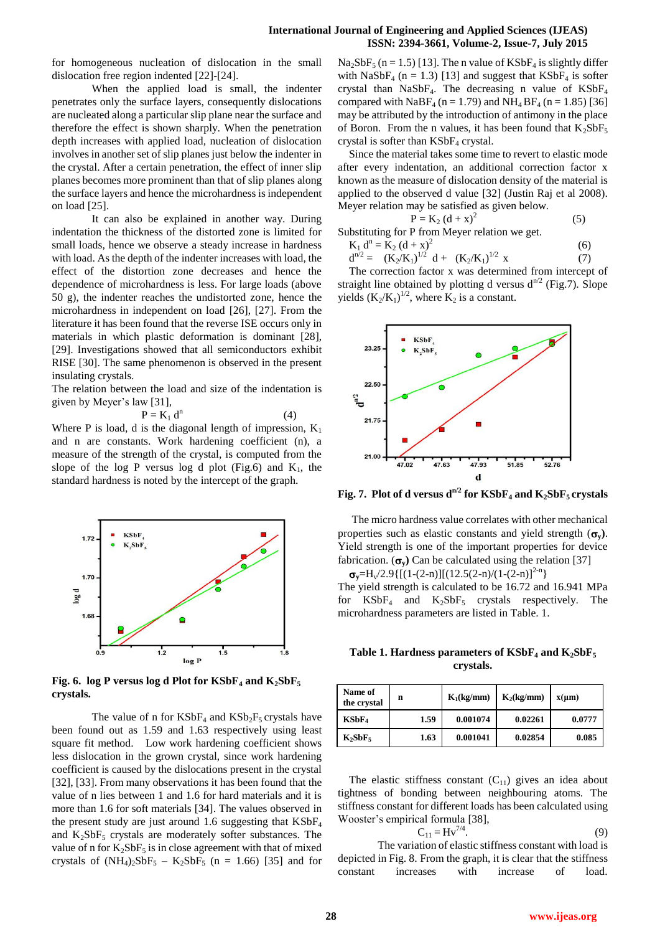for homogeneous nucleation of dislocation in the small dislocation free region indented [22]-[24].

When the applied load is small, the indenter penetrates only the surface layers, consequently dislocations are nucleated along a particular slip plane near the surface and therefore the effect is shown sharply. When the penetration depth increases with applied load, nucleation of dislocation involves in another set of slip planes just below the indenter in the crystal. After a certain penetration, the effect of inner slip planes becomes more prominent than that of slip planes along the surface layers and hence the microhardness is independent on load [25].

It can also be explained in another way. During indentation the thickness of the distorted zone is limited for small loads, hence we observe a steady increase in hardness with load. As the depth of the indenter increases with load, the effect of the distortion zone decreases and hence the dependence of microhardness is less. For large loads (above 50 g), the indenter reaches the undistorted zone, hence the microhardness in independent on load [26], [27]. From the literature it has been found that the reverse ISE occurs only in materials in which plastic deformation is dominant [28], [29]. Investigations showed that all semiconductors exhibit RISE [30]. The same phenomenon is observed in the present insulating crystals.

The relation between the load and size of the indentation is given by Meyer's law [31],

$$
P = K_1 d^n \tag{4}
$$

Where P is load, d is the diagonal length of impression,  $K_1$ and n are constants. Work hardening coefficient (n), a measure of the strength of the crystal, is computed from the slope of the log P versus log d plot (Fig.6) and  $K_1$ , the standard hardness is noted by the intercept of the graph.



**Fig. 6. log P versus log d Plot for**  $KSBF_4$  **and**  $K_2SBF_5$ **crystals.**

The value of n for  $KSBF_4$  and  $KSB_2F_5$  crystals have been found out as 1.59 and 1.63 respectively using least square fit method.Low work hardening coefficient shows less dislocation in the grown crystal, since work hardening coefficient is caused by the dislocations present in the crystal [32], [33]. From many observations it has been found that the value of n lies between 1 and 1.6 for hard materials and it is more than 1.6 for soft materials [34]. The values observed in the present study are just around 1.6 suggesting that  $KSBF<sub>4</sub>$ and  $K_2SbF_5$  crystals are moderately softer substances. The value of n for  $K_2SbF_5$  is in close agreement with that of mixed crystals of  $(NH_4)_2SbF_5 - K_2SbF_5$  (n = 1.66) [35] and for  $Na<sub>2</sub>SbF<sub>5</sub>$  (n = 1.5) [13]. The n value of  $KSbF<sub>4</sub>$  is slightly differ with NaSbF<sub>4</sub> ( $n = 1.3$ ) [13] and suggest that KSbF<sub>4</sub> is softer crystal than NaSbF<sub>4</sub>. The decreasing n value of  $KSBF<sub>4</sub>$ compared with NaBF<sub>4</sub> (n = 1.79) and NH<sub>4</sub> BF<sub>4</sub> (n = 1.85) [36] may be attributed by the introduction of antimony in the place of Boron. From the n values, it has been found that  $K_2SbF_5$ crystal is softer than  $KSBF<sub>4</sub>$  crystal.

Since the material takes some time to revert to elastic mode after every indentation, an additional correction factor x known as the measure of dislocation density of the material is applied to the observed d value [32] (Justin Raj et al 2008). Meyer relation may be satisfied as given below.

$$
P = K_2 (d+x)^2
$$
 (5)

Substituting for P from Meyer relation we get.

$$
K_1 d^n = K_2 (d + x)^2
$$
  
\n
$$
d^{n/2} = (K_2/K_1)^{1/2} d + (K_2/K_1)^{1/2} x
$$
\n(6)

The correction factor x was determined from intercept of straight line obtained by plotting d versus  $d^{n/2}$  (Fig.7). Slope yields  $(K_2/K_1)^{1/2}$ , where  $K_2$  is a constant.



**Fig. 7. Plot of d versus**  $d^{n/2}$  **for**  $KSBF_4$  **and**  $K_2SBF_5$  **crystals** 

 The micro hardness value correlates with other mechanical properties such as elastic constants and yield strength  $(\sigma_v)$ . Yield strength is one of the important properties for device fabrication.  $(\sigma_v)$  Can be calculated using the relation [37]

 $\sigma_y = H_y/2.9\{[(1-(2-n)][(12.5(2-n)/(1-(2-n))^{2-n})]$ The yield strength is calculated to be 16.72 and 16.941 MPa for  $KSBF_4$  and  $K_2SBF_5$  crystals respectively. The microhardness parameters are listed in Table. 1.

**Table 1. Hardness parameters of**  $KSBF_4$  **and**  $K_2SbF_5$ **crystals.**

| Name of<br>the crystal | n    | $K_1(kg/mm)$ | $K_2(kg/mm)$ | $x(\mu m)$ |
|------------------------|------|--------------|--------------|------------|
| KSBF <sub>4</sub>      | 1.59 | 0.001074     | 0.02261      | 0.0777     |
| $K_2SbF_5$             | 1.63 | 0.001041     | 0.02854      | 0.085      |

The elastic stiffness constant  $(C_{11})$  gives an idea about tightness of bonding between neighbouring atoms. The stiffness constant for different loads has been calculated using Wooster's empirical formula [38],

$$
C_{11} = Hv^{7/4}.
$$
 (9)

The variation of elastic stiffness constant with load is depicted in Fig. 8. From the graph, it is clear that the stiffness constant increases with increase of load.